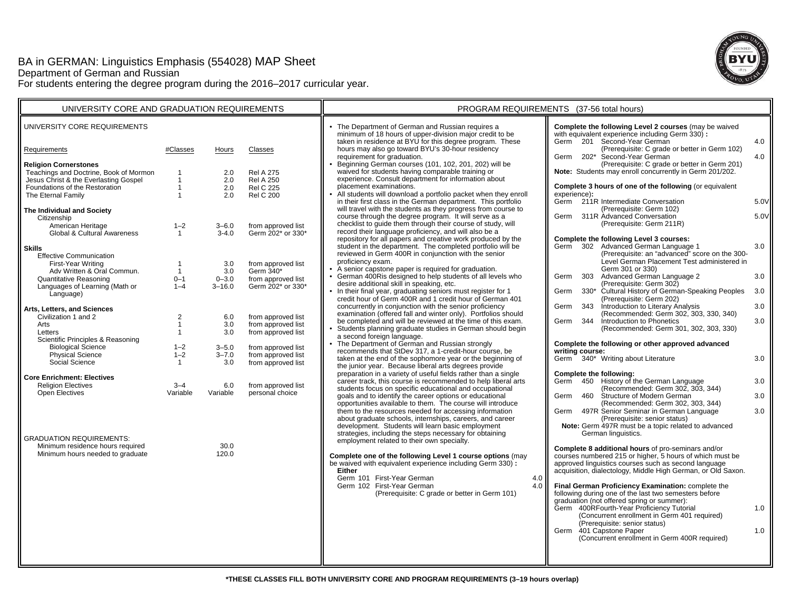# BA in GERMAN: Linguistics Emphasis (554028) MAP Sheet Department of German and Russian For students entering the degree program during the 2016–2017 curricular year.



| UNIVERSITY CORE AND GRADUATION REQUIREMENTS                            |                     |                        |                                          | PROGRAM REQUIREMENTS (37-56 total hours)                                                                                                                                  |                                                                                                                                                 |  |
|------------------------------------------------------------------------|---------------------|------------------------|------------------------------------------|---------------------------------------------------------------------------------------------------------------------------------------------------------------------------|-------------------------------------------------------------------------------------------------------------------------------------------------|--|
| UNIVERSITY CORE REQUIREMENTS                                           |                     |                        |                                          | • The Department of German and Russian requires a<br>minimum of 18 hours of upper-division major credit to be<br>taken in residence at BYU for this degree program. These | Complete the following Level 2 courses (may be waived<br>with equivalent experience including Germ 330) :<br>Germ 201 Second-Year German<br>4.0 |  |
| Requirements                                                           | #Classes            | Hours                  | Classes                                  | hours may also go toward BYU's 30-hour residency<br>requirement for graduation.                                                                                           | (Prerequisite: C grade or better in Germ 102)<br>Germ 202* Second-Year German<br>4.0                                                            |  |
| <b>Religion Cornerstones</b><br>Teachings and Doctrine, Book of Mormon |                     |                        | <b>Rel A 275</b>                         | • Beginning German courses (101, 102, 201, 202) will be<br>waived for students having comparable training or                                                              | (Prerequisite: C grade or better in Germ 201)<br>Note: Students may enroll concurrently in Germ 201/202.                                        |  |
| Jesus Christ & the Everlasting Gospel                                  | $\mathbf{1}$        | 2.0<br>2.0             | <b>Rel A 250</b>                         | experience. Consult department for information about                                                                                                                      |                                                                                                                                                 |  |
| Foundations of the Restoration                                         | $\mathbf{1}$        | 2.0                    | <b>Rel C 225</b>                         | placement examinations.                                                                                                                                                   | Complete 3 hours of one of the following (or equivalent                                                                                         |  |
| The Eternal Family                                                     | $\overline{1}$      | 2.0                    | <b>Rel C 200</b>                         | • All students will download a portfolio packet when they enroll                                                                                                          | experience):                                                                                                                                    |  |
|                                                                        |                     |                        |                                          | in their first class in the German department. This portfolio<br>will travel with the students as they progress from course to                                            | Germ 211R Intermediate Conversation<br>5.0V<br>(Prerequisite: Germ 102)                                                                         |  |
| The Individual and Society<br>Citizenship                              |                     |                        |                                          | course through the degree program. It will serve as a                                                                                                                     | 311R Advanced Conversation<br>5.0V<br>Germ                                                                                                      |  |
| American Heritage                                                      | $1 - 2$             | $3 - 6.0$              | from approved list                       | checklist to guide them through their course of study, will                                                                                                               | (Prerequisite: Germ 211R)                                                                                                                       |  |
| Global & Cultural Awareness                                            | $\mathbf{1}$        | $3 - 4.0$              | Germ 202* or 330*                        | record their language proficiency, and will also be a                                                                                                                     |                                                                                                                                                 |  |
|                                                                        |                     |                        |                                          | repository for all papers and creative work produced by the<br>student in the department. The completed portfolio will be                                                 | Complete the following Level 3 courses:<br>3.0                                                                                                  |  |
| <b>Skills</b>                                                          |                     |                        |                                          | reviewed in Germ 400R in conjunction with the senior                                                                                                                      | Germ 302 Advanced German Language 1<br>(Prerequisite: an "advanced" score on the 300-                                                           |  |
| <b>Effective Communication</b><br>First-Year Writing                   |                     | 3.0                    | from approved list                       | proficiency exam.                                                                                                                                                         | Level German Placement Test administered in                                                                                                     |  |
| Adv Written & Oral Commun.                                             | $\overline{1}$      | 3.0                    | Germ 340*                                | • A senior capstone paper is required for graduation.                                                                                                                     | Germ 301 or 330)                                                                                                                                |  |
| Quantitative Reasoning                                                 | $0 - 1$             | $0 - 3.0$              | from approved list                       | • German 400Ris designed to help students of all levels who                                                                                                               | 303 Advanced German Language 2<br>Germ<br>3.0                                                                                                   |  |
| Languages of Learning (Math or                                         | $1 - 4$             | $3 - 16.0$             | Germ 202* or 330*                        | desire additional skill in speaking, etc.<br>• In their final year, graduating seniors must register for 1                                                                | (Prerequisite: Germ 302)<br>330* Cultural History of German-Speaking Peoples<br>3.0<br>Germ                                                     |  |
| Language)                                                              |                     |                        |                                          | credit hour of Germ 400R and 1 credit hour of German 401                                                                                                                  | (Prerequisite: Germ 202)                                                                                                                        |  |
| Arts, Letters, and Sciences                                            |                     |                        |                                          | concurrently in conjunction with the senior proficiency                                                                                                                   | Introduction to Literary Analysis<br>Germ<br>343<br>3.0                                                                                         |  |
| Civilization 1 and 2                                                   | $\overline{2}$      | 6.0                    | from approved list                       | examination (offered fall and winter only). Portfolios should                                                                                                             | (Recommended: Germ 302, 303, 330, 340)                                                                                                          |  |
| Arts                                                                   | $\mathbf{1}$        | 3.0                    | from approved list                       | be completed and will be reviewed at the time of this exam.                                                                                                               | Germ 344 Introduction to Phonetics<br>3.0<br>(Recommended: Germ 301, 302, 303, 330)                                                             |  |
| Letters                                                                | $\mathbf{1}$        | 3.0                    | from approved list                       | • Students planning graduate studies in German should begin<br>a second foreign language.                                                                                 |                                                                                                                                                 |  |
| Scientific Principles & Reasoning                                      |                     |                        |                                          | • The Department of German and Russian strongly                                                                                                                           | Complete the following or other approved advanced                                                                                               |  |
| <b>Biological Science</b><br><b>Physical Science</b>                   | $1 - 2$<br>$1 - 2$  | $3 - 5.0$<br>$3 - 7.0$ | from approved list<br>from approved list | recommends that StDev 317, a 1-credit-hour course, be                                                                                                                     | writing course:                                                                                                                                 |  |
| Social Science                                                         | $\overline{1}$      | 3.0                    | from approved list                       | taken at the end of the sophomore year or the beginning of                                                                                                                | Germ 340* Writing about Literature<br>3.0                                                                                                       |  |
|                                                                        |                     |                        |                                          | the junior year. Because liberal arts degrees provide<br>preparation in a variety of useful fields rather than a single                                                   | Complete the following:                                                                                                                         |  |
| <b>Core Enrichment: Electives</b>                                      |                     |                        |                                          | career track, this course is recommended to help liberal arts                                                                                                             | Germ 450 History of the German Language<br>3.0                                                                                                  |  |
| <b>Religion Electives</b><br>Open Electives                            | $3 - 4$<br>Variable | 6.0                    | from approved list<br>personal choice    | students focus on specific educational and occupational                                                                                                                   | (Recommended: Germ 302, 303, 344)                                                                                                               |  |
|                                                                        |                     | Variable               |                                          | goals and to identify the career options or educational                                                                                                                   | 460 Structure of Modern German<br>3.0<br>Germ                                                                                                   |  |
|                                                                        |                     |                        |                                          | opportunities available to them. The course will introduce<br>them to the resources needed for accessing information                                                      | (Recommended: Germ 302, 303, 344)<br>497R Senior Seminar in German Language<br>3.0<br>Germ                                                      |  |
|                                                                        |                     |                        |                                          | about graduate schools, internships, careers, and career                                                                                                                  | (Prerequisite: senior status)                                                                                                                   |  |
|                                                                        |                     |                        |                                          | development. Students will learn basic employment                                                                                                                         | Note: Germ 497R must be a topic related to advanced                                                                                             |  |
| <b>GRADUATION REQUIREMENTS:</b>                                        |                     |                        |                                          | strategies, including the steps necessary for obtaining                                                                                                                   | German linguistics.                                                                                                                             |  |
| Minimum residence hours required                                       |                     | 30.0                   |                                          | employment related to their own specialty.                                                                                                                                | Complete 8 additional hours of pro-seminars and/or                                                                                              |  |
| Minimum hours needed to graduate                                       |                     | 120.0                  |                                          | Complete one of the following Level 1 course options (may                                                                                                                 | courses numbered 215 or higher, 5 hours of which must be                                                                                        |  |
|                                                                        |                     |                        |                                          | be waived with equivalent experience including Germ 330) :                                                                                                                | approved linguistics courses such as second language                                                                                            |  |
|                                                                        |                     |                        |                                          | <b>Either</b>                                                                                                                                                             | acquisition, dialectology, Middle High German, or Old Saxon.                                                                                    |  |
|                                                                        |                     |                        |                                          | Germ 101 First-Year German<br>4.0                                                                                                                                         |                                                                                                                                                 |  |
|                                                                        |                     |                        |                                          | 4.0<br>Germ 102 First-Year German<br>(Prerequisite: C grade or better in Germ 101)                                                                                        | Final German Proficiency Examination: complete the<br>following during one of the last two semesters before                                     |  |
|                                                                        |                     |                        |                                          |                                                                                                                                                                           | graduation (not offered spring or summer):                                                                                                      |  |
|                                                                        |                     |                        |                                          |                                                                                                                                                                           | Germ 400RFourth-Year Proficiency Tutorial<br>1.0                                                                                                |  |
|                                                                        |                     |                        |                                          |                                                                                                                                                                           | (Concurrent enrollment in Germ 401 required)                                                                                                    |  |
|                                                                        |                     |                        |                                          |                                                                                                                                                                           | (Prerequisite: senior status)<br>Germ 401 Capstone Paper<br>1.0                                                                                 |  |
|                                                                        |                     |                        |                                          |                                                                                                                                                                           | (Concurrent enrollment in Germ 400R required)                                                                                                   |  |
|                                                                        |                     |                        |                                          |                                                                                                                                                                           |                                                                                                                                                 |  |
|                                                                        |                     |                        |                                          |                                                                                                                                                                           |                                                                                                                                                 |  |
|                                                                        |                     |                        |                                          |                                                                                                                                                                           |                                                                                                                                                 |  |